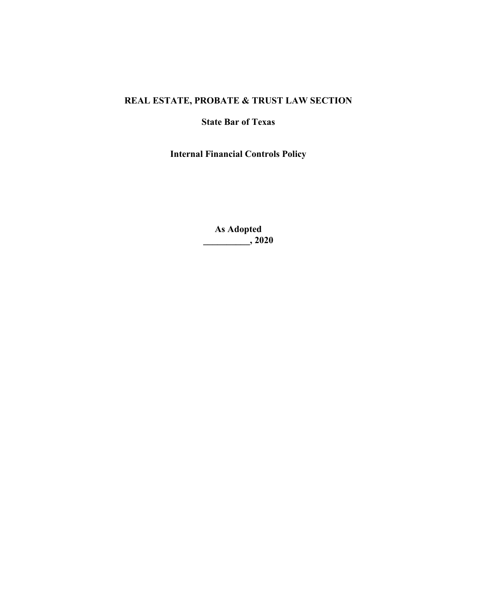# **REAL ESTATE, PROBATE & TRUST LAW SECTION**

## **State Bar of Texas**

**Internal Financial Controls Policy**

**As Adopted \_\_\_\_\_\_\_\_\_\_, 2020**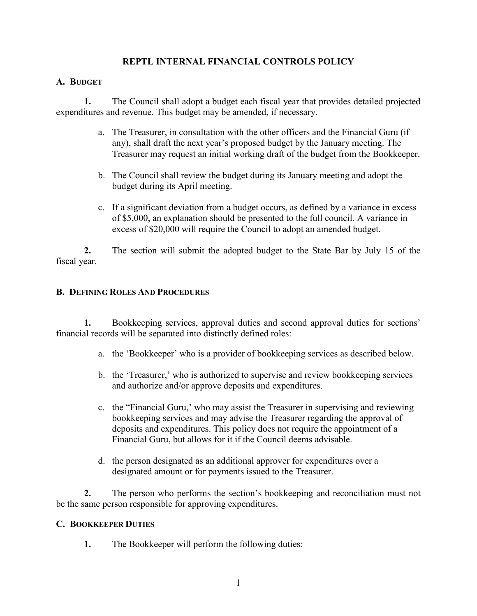## **REPTL INTERNAL FINANCIAL CONTROLS POLICY**

### **A. BUDGET**

**1.** The Council shall adopt a budget each fiscal year that provides detailed projected expenditures and revenue. This budget may be amended, if necessary.

- a. The Treasurer, in consultation with the other officers and the Financial Guru (if any), shall draft the next year's proposed budget by the January meeting. The Treasurer may request an initial working draft of the budget from the Bookkeeper.
- b. The Council shall review the budget during its January meeting and adopt the budget during its April meeting.
- c. If a significant deviation from a budget occurs, as defined by a variance in excess of \$5,000, an explanation should be presented to the full council. A variance in excess of \$20,000 will require the Council to adopt an amended budget.

**2.** The section will submit the adopted budget to the State Bar by July 15 of the fiscal year.

### **B. DEFINING ROLES AND PROCEDURES**

**1.** Bookkeeping services, approval duties and second approval duties for sections' financial records will be separated into distinctly defined roles:

- a. the 'Bookkeeper' who is a provider of bookkeeping services as described below.
- b. the 'Treasurer,' who is authorized to supervise and review bookkeeping services and authorize and/or approve deposits and expenditures.
- c. the "Financial Guru,' who may assist the Treasurer in supervising and reviewing bookkeeping services and may advise the Treasurer regarding the approval of deposits and expenditures. This policy does not require the appointment of a Financial Guru, but allows for it if the Council deems advisable.
- d. the person designated as an additional approver for expenditures over a designated amount or for payments issued to the Treasurer.

**2.** The person who performs the section's bookkeeping and reconciliation must not be the same person responsible for approving expenditures.

### **C. BOOKKEEPER DUTIES**

**1.** The Bookkeeper will perform the following duties: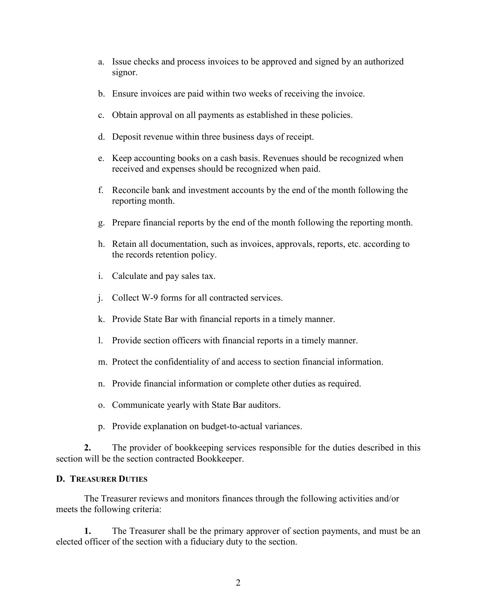- a. Issue checks and process invoices to be approved and signed by an authorized signor.
- b. Ensure invoices are paid within two weeks of receiving the invoice.
- c. Obtain approval on all payments as established in these policies.
- d. Deposit revenue within three business days of receipt.
- e. Keep accounting books on a cash basis. Revenues should be recognized when received and expenses should be recognized when paid.
- f. Reconcile bank and investment accounts by the end of the month following the reporting month.
- g. Prepare financial reports by the end of the month following the reporting month.
- h. Retain all documentation, such as invoices, approvals, reports, etc. according to the records retention policy.
- i. Calculate and pay sales tax.
- j. Collect W-9 forms for all contracted services.
- k. Provide State Bar with financial reports in a timely manner.
- l. Provide section officers with financial reports in a timely manner.
- m. Protect the confidentiality of and access to section financial information.
- n. Provide financial information or complete other duties as required.
- o. Communicate yearly with State Bar auditors.
- p. Provide explanation on budget-to-actual variances.

**2.** The provider of bookkeeping services responsible for the duties described in this section will be the section contracted Bookkeeper.

### **D. TREASURER DUTIES**

The Treasurer reviews and monitors finances through the following activities and/or meets the following criteria:

**1.** The Treasurer shall be the primary approver of section payments, and must be an elected officer of the section with a fiduciary duty to the section.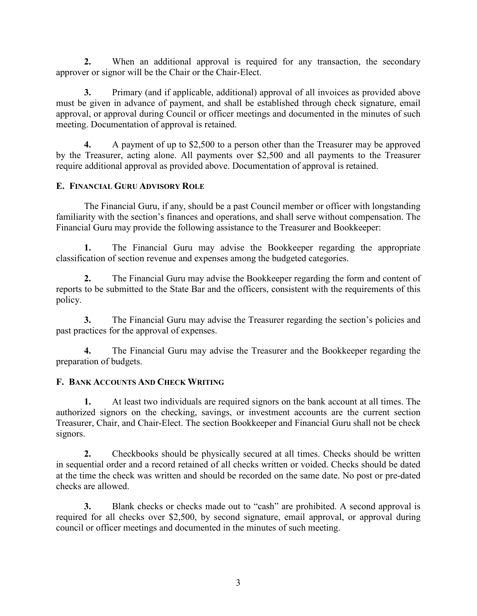**2.** When an additional approval is required for any transaction, the secondary approver or signor will be the Chair or the Chair-Elect.

**3.** Primary (and if applicable, additional) approval of all invoices as provided above must be given in advance of payment, and shall be established through check signature, email approval, or approval during Council or officer meetings and documented in the minutes of such meeting. Documentation of approval is retained.

**4.** A payment of up to \$2,500 to a person other than the Treasurer may be approved by the Treasurer, acting alone. All payments over \$2,500 and all payments to the Treasurer require additional approval as provided above. Documentation of approval is retained.

## **E. FINANCIAL GURU ADVISORY ROLE**

The Financial Guru, if any, should be a past Council member or officer with longstanding familiarity with the section's finances and operations, and shall serve without compensation. The Financial Guru may provide the following assistance to the Treasurer and Bookkeeper:

**1.** The Financial Guru may advise the Bookkeeper regarding the appropriate classification of section revenue and expenses among the budgeted categories.

**2.** The Financial Guru may advise the Bookkeeper regarding the form and content of reports to be submitted to the State Bar and the officers, consistent with the requirements of this policy.

**3.** The Financial Guru may advise the Treasurer regarding the section's policies and past practices for the approval of expenses.

**4.** The Financial Guru may advise the Treasurer and the Bookkeeper regarding the preparation of budgets.

## **F. BANK ACCOUNTS AND CHECK WRITING**

**1.** At least two individuals are required signors on the bank account at all times. The authorized signors on the checking, savings, or investment accounts are the current section Treasurer, Chair, and Chair-Elect. The section Bookkeeper and Financial Guru shall not be check signors.

**2.** Checkbooks should be physically secured at all times. Checks should be written in sequential order and a record retained of all checks written or voided. Checks should be dated at the time the check was written and should be recorded on the same date. No post or pre-dated checks are allowed.

**3.** Blank checks or checks made out to "cash" are prohibited. A second approval is required for all checks over \$2,500, by second signature, email approval, or approval during council or officer meetings and documented in the minutes of such meeting.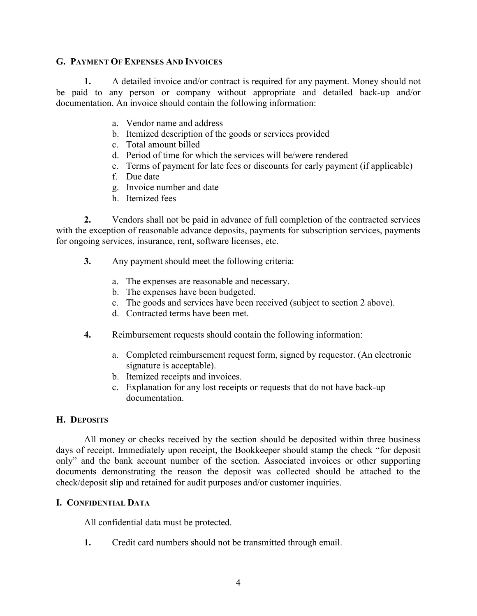### **G. PAYMENT OF EXPENSES AND INVOICES**

**1.** A detailed invoice and/or contract is required for any payment. Money should not be paid to any person or company without appropriate and detailed back-up and/or documentation. An invoice should contain the following information:

- a. Vendor name and address
- b. Itemized description of the goods or services provided
- c. Total amount billed
- d. Period of time for which the services will be/were rendered
- e. Terms of payment for late fees or discounts for early payment (if applicable)
- f. Due date
- g. Invoice number and date
- h. Itemized fees

**2.** Vendors shall not be paid in advance of full completion of the contracted services with the exception of reasonable advance deposits, payments for subscription services, payments for ongoing services, insurance, rent, software licenses, etc.

- **3.** Any payment should meet the following criteria:
	- a. The expenses are reasonable and necessary.
	- b. The expenses have been budgeted.
	- c. The goods and services have been received (subject to section 2 above).
	- d. Contracted terms have been met.
- **4.** Reimbursement requests should contain the following information:
	- a. Completed reimbursement request form, signed by requestor. (An electronic signature is acceptable).
	- b. Itemized receipts and invoices.
	- c. Explanation for any lost receipts or requests that do not have back-up documentation.

### **H. DEPOSITS**

All money or checks received by the section should be deposited within three business days of receipt. Immediately upon receipt, the Bookkeeper should stamp the check "for deposit only" and the bank account number of the section. Associated invoices or other supporting documents demonstrating the reason the deposit was collected should be attached to the check/deposit slip and retained for audit purposes and/or customer inquiries.

### **I. CONFIDENTIAL DATA**

All confidential data must be protected.

**1.** Credit card numbers should not be transmitted through email.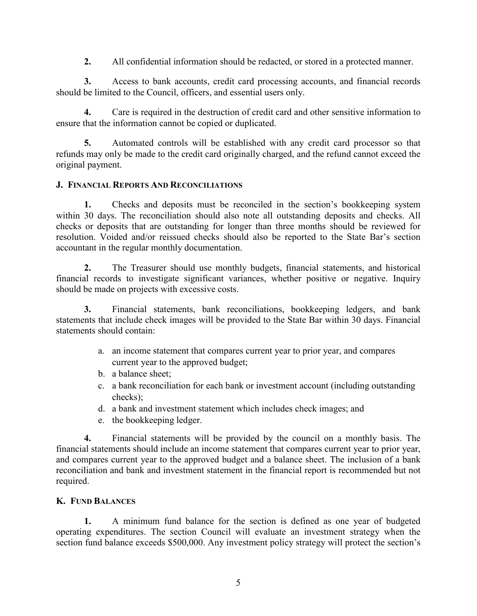**2.** All confidential information should be redacted, or stored in a protected manner.

**3.** Access to bank accounts, credit card processing accounts, and financial records should be limited to the Council, officers, and essential users only.

**4.** Care is required in the destruction of credit card and other sensitive information to ensure that the information cannot be copied or duplicated.

**5.** Automated controls will be established with any credit card processor so that refunds may only be made to the credit card originally charged, and the refund cannot exceed the original payment.

## **J. FINANCIAL REPORTS AND RECONCILIATIONS**

**1.** Checks and deposits must be reconciled in the section's bookkeeping system within 30 days. The reconciliation should also note all outstanding deposits and checks. All checks or deposits that are outstanding for longer than three months should be reviewed for resolution. Voided and/or reissued checks should also be reported to the State Bar's section accountant in the regular monthly documentation.

**2.** The Treasurer should use monthly budgets, financial statements, and historical financial records to investigate significant variances, whether positive or negative. Inquiry should be made on projects with excessive costs.

**3.** Financial statements, bank reconciliations, bookkeeping ledgers, and bank statements that include check images will be provided to the State Bar within 30 days. Financial statements should contain:

- a. an income statement that compares current year to prior year, and compares current year to the approved budget;
- b. a balance sheet;
- c. a bank reconciliation for each bank or investment account (including outstanding checks);
- d. a bank and investment statement which includes check images; and
- e. the bookkeeping ledger.

**4.** Financial statements will be provided by the council on a monthly basis. The financial statements should include an income statement that compares current year to prior year, and compares current year to the approved budget and a balance sheet. The inclusion of a bank reconciliation and bank and investment statement in the financial report is recommended but not required.

## **K. FUND BALANCES**

**1.** A minimum fund balance for the section is defined as one year of budgeted operating expenditures. The section Council will evaluate an investment strategy when the section fund balance exceeds \$500,000. Any investment policy strategy will protect the section's